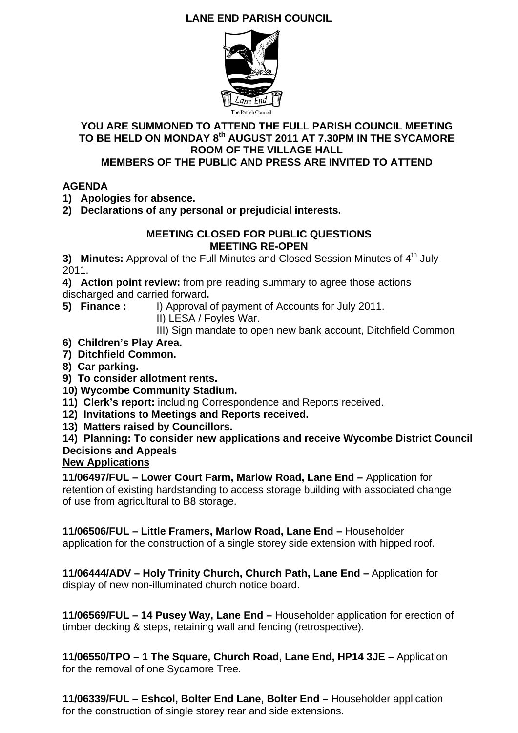## **LANE END PARISH COUNCIL**



#### **YOU ARE SUMMONED TO ATTEND THE FULL PARISH COUNCIL MEETING**  TO BE HELD ON MONDAY 8<sup>th</sup> AUGUST 2011 AT 7.30PM IN THE SYCAMORE **ROOM OF THE VILLAGE HALL MEMBERS OF THE PUBLIC AND PRESS ARE INVITED TO ATTEND**

#### **AGENDA**

- **1) Apologies for absence.**
- **2) Declarations of any personal or prejudicial interests.**

#### **MEETING CLOSED FOR PUBLIC QUESTIONS MEETING RE-OPEN**

**3) Minutes:** Approval of the Full Minutes and Closed Session Minutes of 4<sup>th</sup> July 2011.

**4) Action point review:** from pre reading summary to agree those actions discharged and carried forward**.** 

- 
- **5) Finance :** I) Approval of payment of Accounts for July 2011.
	- II) LESA / Foyles War.
	- III) Sign mandate to open new bank account, Ditchfield Common
- **6) Children's Play Area.**
- **7) Ditchfield Common.**
- **8) Car parking.**
- **9) To consider allotment rents.**
- **10) Wycombe Community Stadium.**
- **11) Clerk's report:** including Correspondence and Reports received.
- **12) Invitations to Meetings and Reports received.**
- **13) Matters raised by Councillors.**

**14) Planning: To consider new applications and receive Wycombe District Council Decisions and Appeals** 

#### **New Applications**

**11/06497/FUL – Lower Court Farm, Marlow Road, Lane End –** Application for retention of existing hardstanding to access storage building with associated change of use from agricultural to B8 storage.

**11/06506/FUL – Little Framers, Marlow Road, Lane End –** Householder

application for the construction of a single storey side extension with hipped roof.

**11/06444/ADV – Holy Trinity Church, Church Path, Lane End –** Application for display of new non-illuminated church notice board.

**11/06569/FUL – 14 Pusey Way, Lane End –** Householder application for erection of timber decking & steps, retaining wall and fencing (retrospective).

**11/06550/TPO – 1 The Square, Church Road, Lane End, HP14 3JE –** Application for the removal of one Sycamore Tree.

**11/06339/FUL – Eshcol, Bolter End Lane, Bolter End –** Householder application for the construction of single storey rear and side extensions.